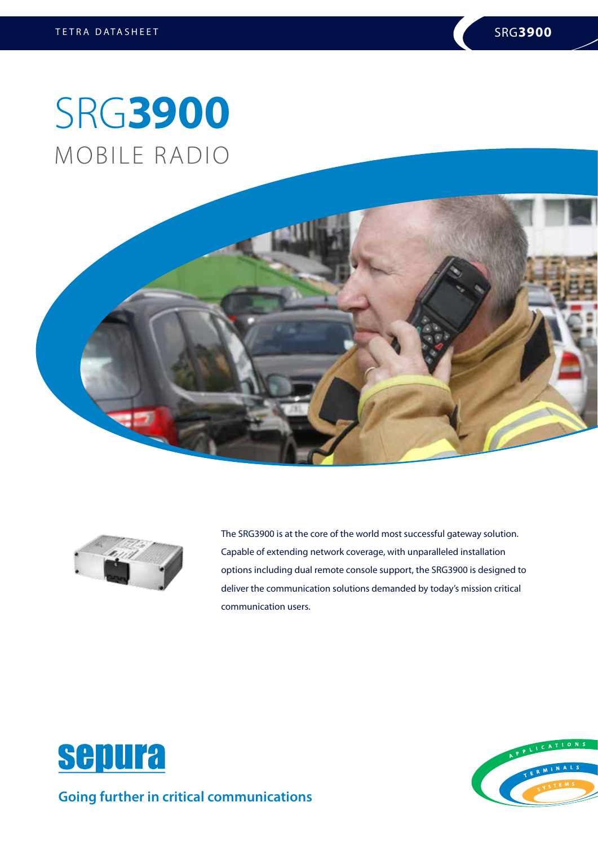## SRG**3900** MOBILE RADIO





The SRG3900 is at the core of the world most successful gateway solution. Capable of extending network coverage, with unparalleled installation options including dual remote console support, the SRG3900 is designed to deliver the communication solutions demanded by today's mission critical communication users.



**Going further in critical communications**

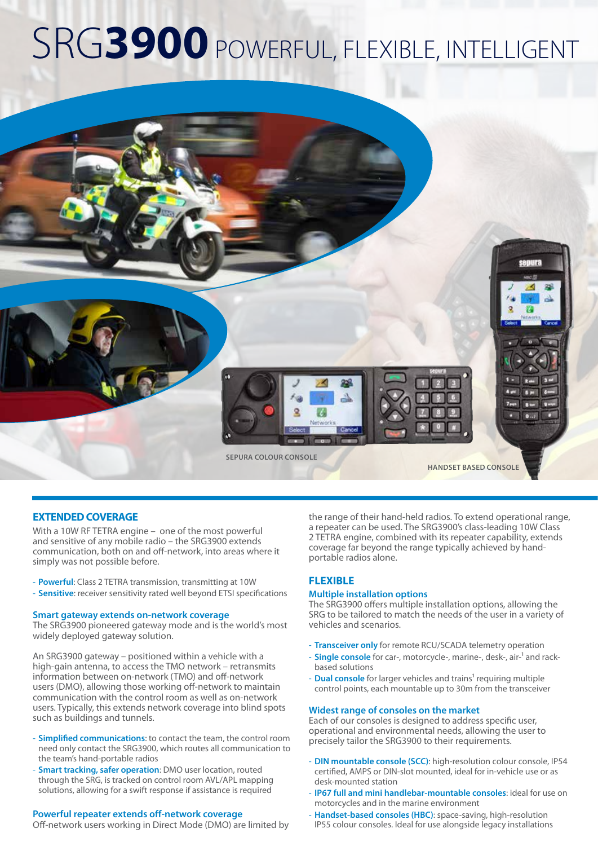## SRG**3900** POWERFUL, FLEXIBLE, INTELLIGENT



#### **EXTENDED COVERAGE**

With a 10W RF TETRA engine – one of the most powerful and sensitive of any mobile radio – the SRG3900 extends communication, both on and off-network, into areas where it simply was not possible before.

- **Powerful**: Class 2 TETRA transmission, transmitting at 10W
- **Sensitive**: receiver sensitivity rated well beyond ETSI specifications

#### **Smart gateway extends on-network coverage**

The SRG3900 pioneered gateway mode and is the world's most widely deployed gateway solution.

An SRG3900 gateway – positioned within a vehicle with a high-gain antenna, to access the TMO network – retransmits information between on-network (TMO) and off-network users (DMO), allowing those working off-network to maintain communication with the control room as well as on-network users. Typically, this extends network coverage into blind spots such as buildings and tunnels.

- **Simplified communications**: to contact the team, the control room need only contact the SRG3900, which routes all communication to the team's hand-portable radios
- **Smart tracking, safer operation**: DMO user location, routed through the SRG, is tracked on control room AVL/APL mapping solutions, allowing for a swift response if assistance is required

#### **Powerful repeater extends off-network coverage**

Off-network users working in Direct Mode (DMO) are limited by

the range of their hand-held radios. To extend operational range, a repeater can be used. The SRG3900's class-leading 10W Class 2 TETRA engine, combined with its repeater capability, extends coverage far beyond the range typically achieved by handportable radios alone.

#### **FLEXIBLE**

#### **Multiple installation options**

The SRG3900 offers multiple installation options, allowing the SRG to be tailored to match the needs of the user in a variety of vehicles and scenarios.

- **Transceiver only** for remote RCU/SCADA telemetry operation
- **Single console** for car-, motorcycle-, marine-, desk-, air-<sup>1</sup> and rackbased solutions
- **Dual console** for larger vehicles and trains<sup>1</sup> requiring multiple control points, each mountable up to 30m from the transceiver

#### **Widest range of consoles on the market**

Each of our consoles is designed to address specific user, operational and environmental needs, allowing the user to precisely tailor the SRG3900 to their requirements.

- **DIN mountable console (SCC)**: high-resolution colour console, IP54 certified, AMPS or DIN-slot mounted, ideal for in-vehicle use or as desk-mounted station
- **IP67 full and mini handlebar-mountable consoles**: ideal for use on motorcycles and in the marine environment
- **Handset-based consoles (HBC)**: space-saving, high-resolution IP55 colour consoles. Ideal for use alongside legacy installations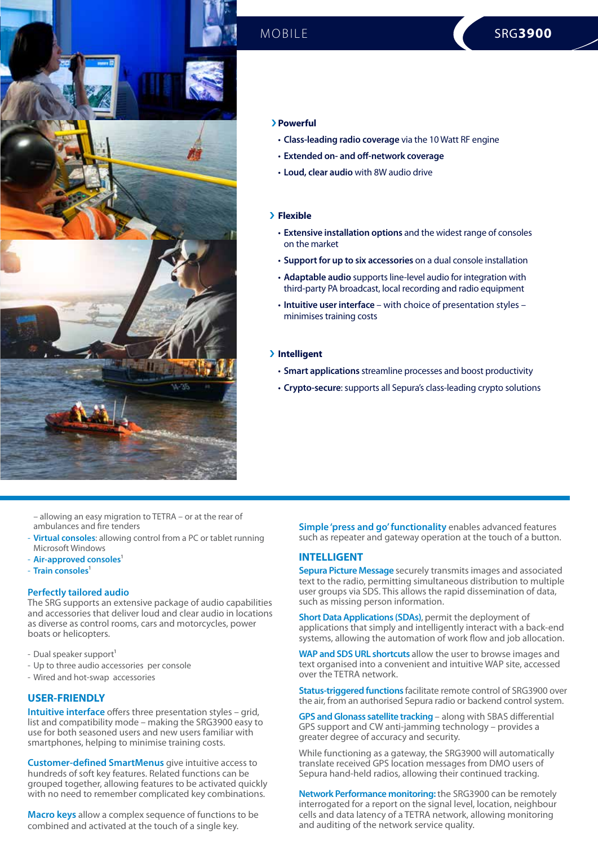

#### › **Powerful**

- **Class-leading radio coverage** via the 10 Watt RF engine
- **Extended on- and off-network coverage**
- **Loud, clear audio** with 8W audio drive

#### › **Flexible**

- **Extensive installation options** and the widest range of consoles on the market
- **Support for up to six accessories** on a dual console installation
- **Adaptable audio** supports line-level audio for integration with third-party PA broadcast, local recording and radio equipment
- **Intuitive user interface**  with choice of presentation styles minimises training costs

#### › **Intelligent**

- **Smart applications** streamline processes and boost productivity
- **Crypto-secure**: supports all Sepura's class-leading crypto solutions

– allowing an easy migration to TETRA – or at the rear of ambulances and fire tenders

- **Virtual consoles**: allowing control from a PC or tablet running Microsoft Windows
- Air-approved consoles<sup>1</sup>
- **Train consoles**<sup>1</sup>

#### **Perfectly tailored audio**

The SRG supports an extensive package of audio capabilities and accessories that deliver loud and clear audio in locations as diverse as control rooms, cars and motorcycles, power boats or helicopters.

- Dual speaker support<sup>1</sup>
- Up to three audio accessories per console
- Wired and hot-swap accessories

#### **USER-FRIENDLY**

**Intuitive interface** offers three presentation styles – grid, list and compatibility mode – making the SRG3900 easy to use for both seasoned users and new users familiar with smartphones, helping to minimise training costs.

**Customer-defined SmartMenus** give intuitive access to hundreds of soft key features. Related functions can be grouped together, allowing features to be activated quickly with no need to remember complicated key combinations.

**Macro keys** allow a complex sequence of functions to be combined and activated at the touch of a single key.

**Simple 'press and go' functionality** enables advanced features such as repeater and gateway operation at the touch of a button.

#### **INTELLIGENT**

**Sepura Picture Message** securely transmits images and associated text to the radio, permitting simultaneous distribution to multiple user groups via SDS. This allows the rapid dissemination of data, such as missing person information.

**Short Data Applications (SDAs)**, permit the deployment of applications that simply and intelligently interact with a back-end systems, allowing the automation of work flow and job allocation.

**WAP and SDS URL shortcuts** allow the user to browse images and text organised into a convenient and intuitive WAP site, accessed over the TETRA network.

**Status-triggered functions** facilitate remote control of SRG3900 over the air, from an authorised Sepura radio or backend control system.

**GPS and Glonass satellite tracking** – along with SBAS differential GPS support and CW anti-jamming technology – provides a greater degree of accuracy and security.

While functioning as a gateway, the SRG3900 will automatically translate received GPS location messages from DMO users of Sepura hand-held radios, allowing their continued tracking.

**Network Performance monitoring:** the SRG3900 can be remotely interrogated for a report on the signal level, location, neighbour cells and data latency of a TETRA network, allowing monitoring and auditing of the network service quality.